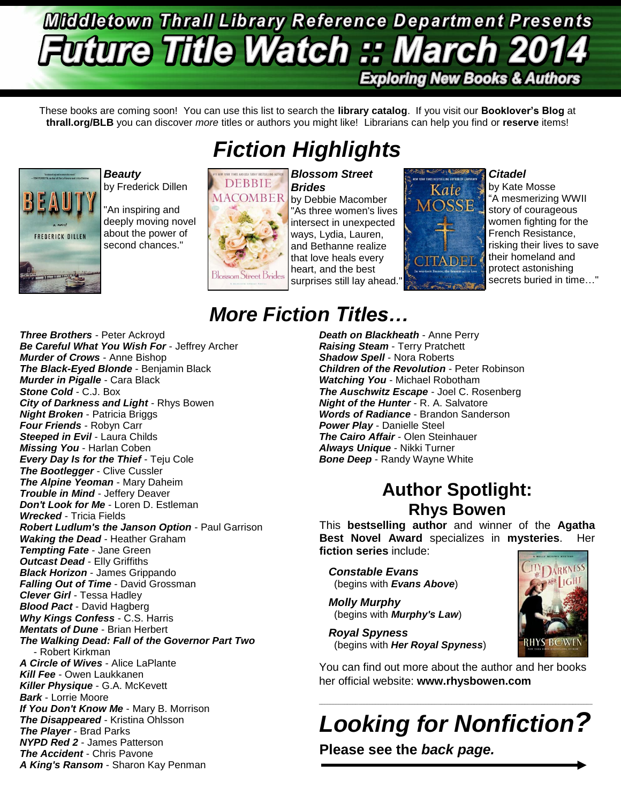# **Middletown Thrall Library Reference Department Presents uture Title Watch :: March 2014 Exploring New Books & Authors**

These books are coming soon! You can use this list to search the **library catalog**. If you visit our **Booklover's Blog** at **thrall.org/BLB** you can discover *more* titles or authors you might like! Librarians can help you find or **reserve** items!





*Beauty* by Frederick Dillen

"An inspiring and deeply moving novel about the power of second chances."



*Brides* by Debbie Macomber "As three women's lives intersect in unexpected ways, Lydia, Lauren, and Bethanne realize that love heals every heart, and the best surprises still lay ahead."



*Citadel*

by Kate Mosse "A mesmerizing WWII story of courageous women fighting for the French Resistance, risking their lives to save their homeland and protect astonishing secrets buried in time…"

### *Three Brothers* - Peter Ackroyd *Be Careful What You Wish For* - Jeffrey Archer *Murder of Crows* - Anne Bishop *The Black-Eyed Blonde* - Benjamin Black *Murder in Pigalle* - Cara Black *Stone Cold* - C.J. Box *City of Darkness and Light* - Rhys Bowen *Night Broken* - Patricia Briggs *Four Friends* - Robyn Carr **Steeped in Evil - Laura Childs** *Missing You* - Harlan Coben *Every Day Is for the Thief* - Teju Cole *The Bootlegger* - Clive Cussler *The Alpine Yeoman* - Mary Daheim *Trouble in Mind* - Jeffery Deaver *Don't Look for Me* - Loren D. Estleman *Wrecked* - Tricia Fields *Robert Ludlum's the Janson Option* - Paul Garrison *Waking the Dead* - Heather Graham *Tempting Fate* - Jane Green *Outcast Dead* - Elly Griffiths *Black Horizon* - James Grippando *Falling Out of Time* - David Grossman *Clever Girl* - Tessa Hadley *Blood Pact* - David Hagberg *Why Kings Confess* - C.S. Harris *Mentats of Dune* - Brian Herbert *The Walking Dead: Fall of the Governor Part Two* - Robert Kirkman *A Circle of Wives* - Alice LaPlante *Kill Fee* - Owen Laukkanen *Killer Physique* - G.A. McKevett *Bark* - Lorrie Moore *If You Don't Know Me* - Mary B. Morrison *The Disappeared* - Kristina Ohlsson *The Player* - Brad Parks *NYPD Red 2* - James Patterson *The Accident - Chris Pavone A King's Ransom* - Sharon Kay Penman

# *More Fiction Titles…*

*Death on Blackheath* - Anne Perry *Raising Steam* - Terry Pratchett *Shadow Spell - Nora Roberts Children of the Revolution* - Peter Robinson *Watching You* - Michael Robotham *The Auschwitz Escape* - Joel C. Rosenberg *Night of the Hunter* - R. A. Salvatore *Words of Radiance* - Brandon Sanderson *Power Play* - Danielle Steel *The Cairo Affair* - Olen Steinhauer *Always Unique* - Nikki Turner *Bone Deep* - Randy Wayne White

# **Author Spotlight: Rhys Bowen**

This **bestselling author** and winner of the **Agatha Best Novel Award** specializes in **mysteries**. Her **fiction series** include:

*Constable Evans* (begins with *Evans Above*)

*Molly Murphy* (begins with *Murphy's Law*)

*Royal Spyness* (begins with *Her Royal Spyness*)



You can find out more about the author and her books her official website: **www.rhysbowen.com**

*Looking for Nonfiction?*

 $\_$  ,  $\_$  ,  $\_$  ,  $\_$  ,  $\_$  ,  $\_$  ,  $\_$  ,  $\_$  ,  $\_$  ,  $\_$  ,  $\_$  ,  $\_$  ,  $\_$  ,  $\_$  ,  $\_$  ,  $\_$  ,  $\_$  ,  $\_$  ,  $\_$  ,  $\_$  ,  $\_$  ,  $\_$  ,  $\_$  ,  $\_$  ,  $\_$  ,  $\_$  ,  $\_$  ,  $\_$  ,  $\_$  ,  $\_$  ,  $\_$  ,  $\_$  ,  $\_$  ,  $\_$  ,  $\_$  ,  $\_$  ,  $\_$  ,

**Please see the** *back page.*